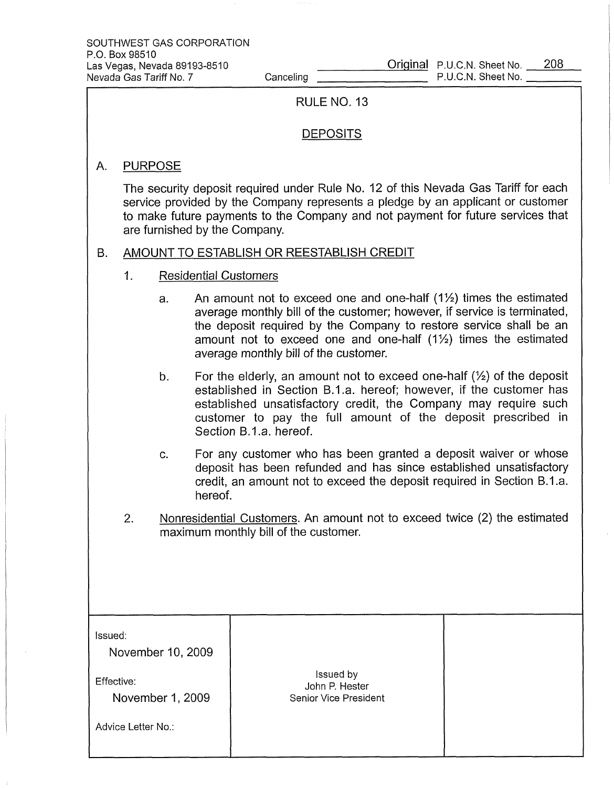A.

|                                    | RULE NO. 13                                                                                                                                                                                                                                                                               |                                                                                                                                                                                                                                                                                                                                                        |  |  |  |
|------------------------------------|-------------------------------------------------------------------------------------------------------------------------------------------------------------------------------------------------------------------------------------------------------------------------------------------|--------------------------------------------------------------------------------------------------------------------------------------------------------------------------------------------------------------------------------------------------------------------------------------------------------------------------------------------------------|--|--|--|
|                                    | <b>DEPOSITS</b>                                                                                                                                                                                                                                                                           |                                                                                                                                                                                                                                                                                                                                                        |  |  |  |
| А.                                 | <b>PURPOSE</b>                                                                                                                                                                                                                                                                            |                                                                                                                                                                                                                                                                                                                                                        |  |  |  |
|                                    | The security deposit required under Rule No. 12 of this Nevada Gas Tariff for each<br>service provided by the Company represents a pledge by an applicant or customer<br>to make future payments to the Company and not payment for future services that<br>are furnished by the Company. |                                                                                                                                                                                                                                                                                                                                                        |  |  |  |
| В.                                 | AMOUNT TO ESTABLISH OR REESTABLISH CREDIT                                                                                                                                                                                                                                                 |                                                                                                                                                                                                                                                                                                                                                        |  |  |  |
| 1.<br><b>Residential Customers</b> |                                                                                                                                                                                                                                                                                           |                                                                                                                                                                                                                                                                                                                                                        |  |  |  |
|                                    | a.                                                                                                                                                                                                                                                                                        | An amount not to exceed one and one-half $(1\frac{1}{2})$ times the estimated<br>average monthly bill of the customer; however, if service is terminated,<br>the deposit required by the Company to restore service shall be an<br>amount not to exceed one and one-half $(1\frac{1}{2})$ times the estimated<br>average monthly bill of the customer. |  |  |  |
|                                    | b.                                                                                                                                                                                                                                                                                        | For the elderly, an amount not to exceed one-half $(\frac{1}{2})$ of the deposit<br>established in Section B.1.a. hereof; however, if the customer has<br>established unsatisfactory credit, the Company may require such<br>customer to pay the full amount of the deposit prescribed in<br>Section B.1.a. hereof.                                    |  |  |  |
|                                    | C.                                                                                                                                                                                                                                                                                        | For any customer who has been granted a deposit waiver or whose<br>deposit has been refunded and has since established unsatisfactory<br>credit, an amount not to exceed the deposit required in Section B.1.a.<br>hereof.                                                                                                                             |  |  |  |

2. Nonresidential Customers. An amount not to exceed twice (2) the estimated maximum monthly bill of the customer.

| Issued:<br>November 10, 2009                         |                                                      |  |
|------------------------------------------------------|------------------------------------------------------|--|
| Effective:<br>November 1, 2009<br>Advice Letter No.: | Issued by<br>John P. Hester<br>Senior Vice President |  |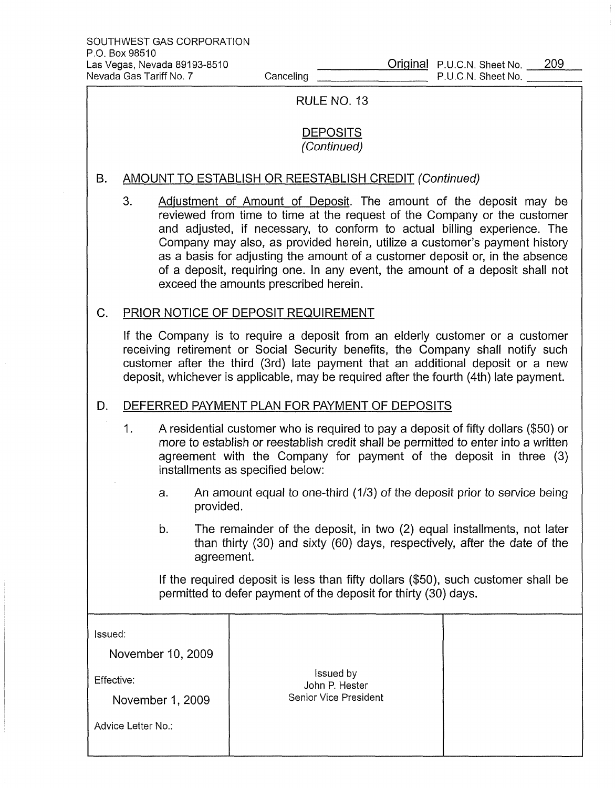$\frac{1}{4}$ 

| RULE NO. 13        |                                                                                                                                                                                                                                                                                                                                               |    |            |                                                                                                                                                                                                                                                                                                                                                                                                                                                                                                                  |  |
|--------------------|-----------------------------------------------------------------------------------------------------------------------------------------------------------------------------------------------------------------------------------------------------------------------------------------------------------------------------------------------|----|------------|------------------------------------------------------------------------------------------------------------------------------------------------------------------------------------------------------------------------------------------------------------------------------------------------------------------------------------------------------------------------------------------------------------------------------------------------------------------------------------------------------------------|--|
|                    | <b>DEPOSITS</b><br>(Continued)                                                                                                                                                                                                                                                                                                                |    |            |                                                                                                                                                                                                                                                                                                                                                                                                                                                                                                                  |  |
| В.                 | <b>AMOUNT TO ESTABLISH OR REESTABLISH CREDIT (Continued)</b>                                                                                                                                                                                                                                                                                  |    |            |                                                                                                                                                                                                                                                                                                                                                                                                                                                                                                                  |  |
|                    | 3.                                                                                                                                                                                                                                                                                                                                            |    |            | Adjustment of Amount of Deposit. The amount of the deposit may be<br>reviewed from time to time at the request of the Company or the customer<br>and adjusted, if necessary, to conform to actual billing experience. The<br>Company may also, as provided herein, utilize a customer's payment history<br>as a basis for adjusting the amount of a customer deposit or, in the absence<br>of a deposit, requiring one. In any event, the amount of a deposit shall not<br>exceed the amounts prescribed herein. |  |
| C.                 | PRIOR NOTICE OF DEPOSIT REQUIREMENT                                                                                                                                                                                                                                                                                                           |    |            |                                                                                                                                                                                                                                                                                                                                                                                                                                                                                                                  |  |
|                    | If the Company is to require a deposit from an elderly customer or a customer<br>receiving retirement or Social Security benefits, the Company shall notify such<br>customer after the third (3rd) late payment that an additional deposit or a new<br>deposit, whichever is applicable, may be required after the fourth (4th) late payment. |    |            |                                                                                                                                                                                                                                                                                                                                                                                                                                                                                                                  |  |
| D.                 | DEFERRED PAYMENT PLAN FOR PAYMENT OF DEPOSITS                                                                                                                                                                                                                                                                                                 |    |            |                                                                                                                                                                                                                                                                                                                                                                                                                                                                                                                  |  |
|                    | 1.<br>A residential customer who is required to pay a deposit of fifty dollars (\$50) or<br>more to establish or reestablish credit shall be permitted to enter into a written<br>agreement with the Company for payment of the deposit in three (3)<br>installments as specified below:                                                      |    |            |                                                                                                                                                                                                                                                                                                                                                                                                                                                                                                                  |  |
|                    | An amount equal to one-third (1/3) of the deposit prior to service being<br>a.<br>provided.                                                                                                                                                                                                                                                   |    |            |                                                                                                                                                                                                                                                                                                                                                                                                                                                                                                                  |  |
|                    |                                                                                                                                                                                                                                                                                                                                               | b. | agreement. | The remainder of the deposit, in two (2) equal installments, not later<br>than thirty (30) and sixty (60) days, respectively, after the date of the                                                                                                                                                                                                                                                                                                                                                              |  |
|                    | If the required deposit is less than fifty dollars (\$50), such customer shall be<br>permitted to defer payment of the deposit for thirty (30) days.                                                                                                                                                                                          |    |            |                                                                                                                                                                                                                                                                                                                                                                                                                                                                                                                  |  |
| Issued:            |                                                                                                                                                                                                                                                                                                                                               |    |            |                                                                                                                                                                                                                                                                                                                                                                                                                                                                                                                  |  |
| November 10, 2009  |                                                                                                                                                                                                                                                                                                                                               |    |            |                                                                                                                                                                                                                                                                                                                                                                                                                                                                                                                  |  |
| Effective:         |                                                                                                                                                                                                                                                                                                                                               |    |            | Issued by<br>John P. Hester                                                                                                                                                                                                                                                                                                                                                                                                                                                                                      |  |
| November 1, 2009   |                                                                                                                                                                                                                                                                                                                                               |    |            | <b>Senior Vice President</b>                                                                                                                                                                                                                                                                                                                                                                                                                                                                                     |  |
| Advice Letter No.: |                                                                                                                                                                                                                                                                                                                                               |    |            |                                                                                                                                                                                                                                                                                                                                                                                                                                                                                                                  |  |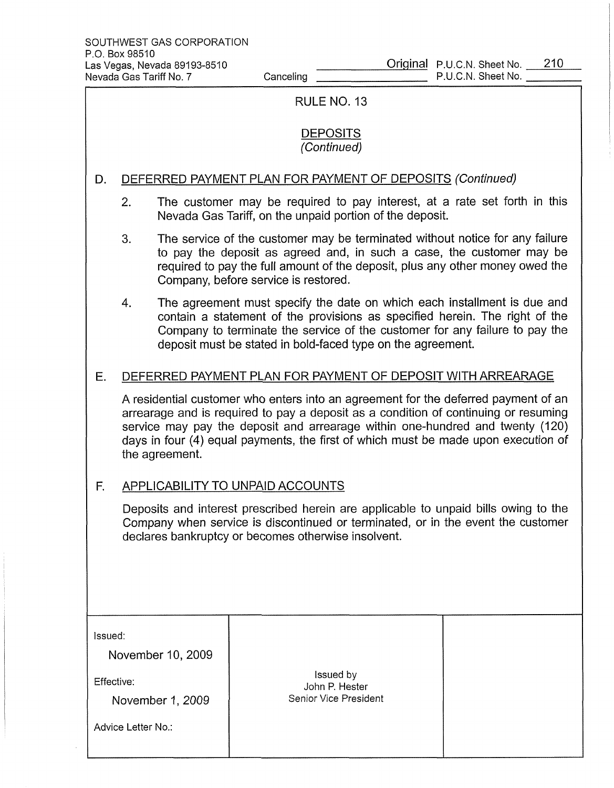| RULE NO. 13                                                                                                                                                                                                                    |                                                                                                                                                                                                                                                                                                                                                                    |  |                                                                                                                                       |  |  |
|--------------------------------------------------------------------------------------------------------------------------------------------------------------------------------------------------------------------------------|--------------------------------------------------------------------------------------------------------------------------------------------------------------------------------------------------------------------------------------------------------------------------------------------------------------------------------------------------------------------|--|---------------------------------------------------------------------------------------------------------------------------------------|--|--|
| <b>DEPOSITS</b><br>(Continued)                                                                                                                                                                                                 |                                                                                                                                                                                                                                                                                                                                                                    |  |                                                                                                                                       |  |  |
| D.                                                                                                                                                                                                                             | DEFERRED PAYMENT PLAN FOR PAYMENT OF DEPOSITS (Continued)                                                                                                                                                                                                                                                                                                          |  |                                                                                                                                       |  |  |
|                                                                                                                                                                                                                                | 2.                                                                                                                                                                                                                                                                                                                                                                 |  | The customer may be required to pay interest, at a rate set forth in this<br>Nevada Gas Tariff, on the unpaid portion of the deposit. |  |  |
|                                                                                                                                                                                                                                | 3.<br>The service of the customer may be terminated without notice for any failure<br>to pay the deposit as agreed and, in such a case, the customer may be<br>required to pay the full amount of the deposit, plus any other money owed the<br>Company, before service is restored.                                                                               |  |                                                                                                                                       |  |  |
|                                                                                                                                                                                                                                | The agreement must specify the date on which each installment is due and<br>4.<br>contain a statement of the provisions as specified herein. The right of the<br>Company to terminate the service of the customer for any failure to pay the<br>deposit must be stated in bold-faced type on the agreement.                                                        |  |                                                                                                                                       |  |  |
| Ε.                                                                                                                                                                                                                             | DEFERRED PAYMENT PLAN FOR PAYMENT OF DEPOSIT WITH ARREARAGE                                                                                                                                                                                                                                                                                                        |  |                                                                                                                                       |  |  |
|                                                                                                                                                                                                                                | A residential customer who enters into an agreement for the deferred payment of an<br>arrearage and is required to pay a deposit as a condition of continuing or resuming<br>service may pay the deposit and arrearage within one-hundred and twenty (120)<br>days in four (4) equal payments, the first of which must be made upon execution of<br>the agreement. |  |                                                                                                                                       |  |  |
| F.                                                                                                                                                                                                                             |                                                                                                                                                                                                                                                                                                                                                                    |  | <b>APPLICABILITY TO UNPAID ACCOUNTS</b>                                                                                               |  |  |
| Deposits and interest prescribed herein are applicable to unpaid bills owing to the<br>Company when service is discontinued or terminated, or in the event the customer<br>declares bankruptcy or becomes otherwise insolvent. |                                                                                                                                                                                                                                                                                                                                                                    |  |                                                                                                                                       |  |  |
| Issued:<br>November 10, 2009<br>Effective:<br>November 1, 2009<br>Advice Letter No.:                                                                                                                                           |                                                                                                                                                                                                                                                                                                                                                                    |  | Issued by<br>John P. Hester<br>Senior Vice President                                                                                  |  |  |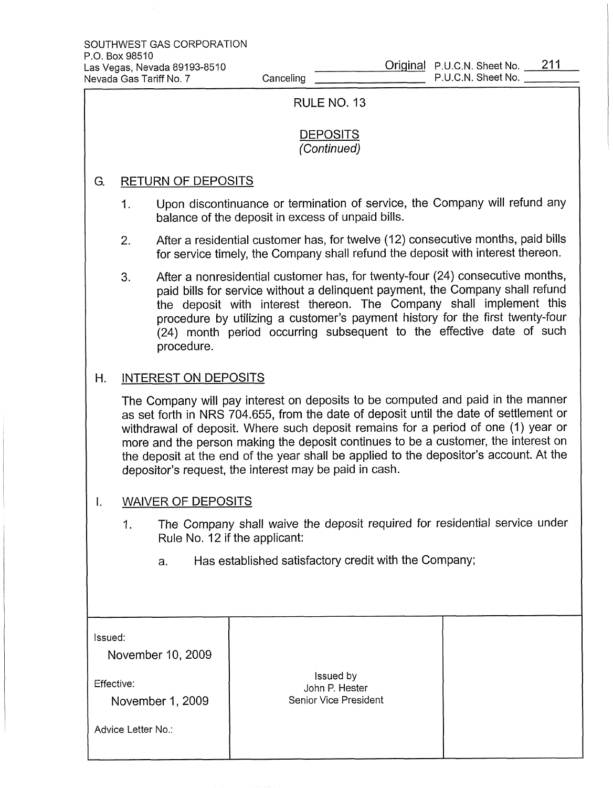| RULE NO. 13                                                    |                                                                                                                                                                                                                                                                                                                                                                                                                                                                                                         |            |                                                                                                                                                                                                                                                                                                                                                                                                |  |  |
|----------------------------------------------------------------|---------------------------------------------------------------------------------------------------------------------------------------------------------------------------------------------------------------------------------------------------------------------------------------------------------------------------------------------------------------------------------------------------------------------------------------------------------------------------------------------------------|------------|------------------------------------------------------------------------------------------------------------------------------------------------------------------------------------------------------------------------------------------------------------------------------------------------------------------------------------------------------------------------------------------------|--|--|
| <b>DEPOSITS</b><br>(Continued)                                 |                                                                                                                                                                                                                                                                                                                                                                                                                                                                                                         |            |                                                                                                                                                                                                                                                                                                                                                                                                |  |  |
| G.                                                             | <b>RETURN OF DEPOSITS</b>                                                                                                                                                                                                                                                                                                                                                                                                                                                                               |            |                                                                                                                                                                                                                                                                                                                                                                                                |  |  |
|                                                                | Upon discontinuance or termination of service, the Company will refund any<br>1.<br>balance of the deposit in excess of unpaid bills.                                                                                                                                                                                                                                                                                                                                                                   |            |                                                                                                                                                                                                                                                                                                                                                                                                |  |  |
|                                                                | 2.                                                                                                                                                                                                                                                                                                                                                                                                                                                                                                      |            | After a residential customer has, for twelve (12) consecutive months, paid bills<br>for service timely, the Company shall refund the deposit with interest thereon.                                                                                                                                                                                                                            |  |  |
|                                                                | 3.                                                                                                                                                                                                                                                                                                                                                                                                                                                                                                      | procedure. | After a nonresidential customer has, for twenty-four (24) consecutive months,<br>paid bills for service without a delinquent payment, the Company shall refund<br>the deposit with interest thereon. The Company shall implement this<br>procedure by utilizing a customer's payment history for the first twenty-four<br>(24) month period occurring subsequent to the effective date of such |  |  |
| Η.                                                             | <b>INTEREST ON DEPOSITS</b>                                                                                                                                                                                                                                                                                                                                                                                                                                                                             |            |                                                                                                                                                                                                                                                                                                                                                                                                |  |  |
|                                                                | The Company will pay interest on deposits to be computed and paid in the manner<br>as set forth in NRS 704.655, from the date of deposit until the date of settlement or<br>withdrawal of deposit. Where such deposit remains for a period of one (1) year or<br>more and the person making the deposit continues to be a customer, the interest on<br>the deposit at the end of the year shall be applied to the depositor's account. At the<br>depositor's request, the interest may be paid in cash. |            |                                                                                                                                                                                                                                                                                                                                                                                                |  |  |
| I,                                                             | <b>WAIVER OF DEPOSITS</b>                                                                                                                                                                                                                                                                                                                                                                                                                                                                               |            |                                                                                                                                                                                                                                                                                                                                                                                                |  |  |
|                                                                | The Company shall waive the deposit required for residential service under<br>1.<br>Rule No. 12 if the applicant:                                                                                                                                                                                                                                                                                                                                                                                       |            |                                                                                                                                                                                                                                                                                                                                                                                                |  |  |
|                                                                |                                                                                                                                                                                                                                                                                                                                                                                                                                                                                                         | a.         | Has established satisfactory credit with the Company;                                                                                                                                                                                                                                                                                                                                          |  |  |
|                                                                |                                                                                                                                                                                                                                                                                                                                                                                                                                                                                                         |            |                                                                                                                                                                                                                                                                                                                                                                                                |  |  |
| Issued:<br>November 10, 2009<br>Effective:<br>November 1, 2009 |                                                                                                                                                                                                                                                                                                                                                                                                                                                                                                         |            | Issued by<br>John P. Hester<br>Senior Vice President                                                                                                                                                                                                                                                                                                                                           |  |  |
| Advice Letter No.:                                             |                                                                                                                                                                                                                                                                                                                                                                                                                                                                                                         |            |                                                                                                                                                                                                                                                                                                                                                                                                |  |  |